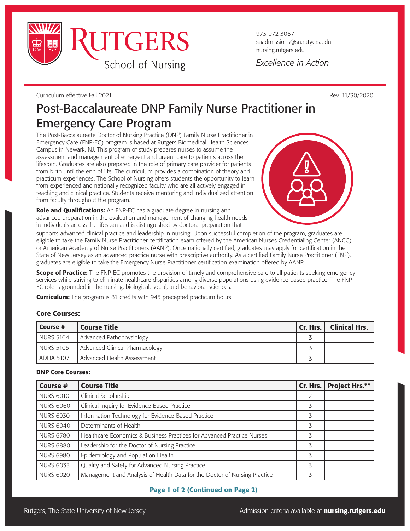

973-972-3067 snadmissions@sn.rutgers.edu nursing.rutgers.edu

Excellence in Action

Curriculum effective Fall 2021 Rev. 11/30/2020

# Post-Baccalaureate DNP Family Nurse Practitioner in Emergency Care Program

The Post-Baccalaureate Doctor of Nursing Practice (DNP) Family Nurse Practitioner in Emergency Care (FNP-EC) program is based at Rutgers Biomedical Health Sciences Campus in Newark, NJ. This program of study prepares nurses to assume the assessment and management of emergent and urgent care to patients across the lifespan. Graduates are also prepared in the role of primary care provider for patients from birth until the end of life. The curriculum provides a combination of theory and practicum experiences. The School of Nursing offers students the opportunity to learn from experienced and nationally recognized faculty who are all actively engaged in teaching and clinical practice. Students receive mentoring and individualized attention from faculty throughout the program.

Role and Qualifications: An FNP-EC has a graduate degree in nursing and advanced preparation in the evaluation and management of changing health needs in individuals across the lifespan and is distinguished by doctoral preparation that

supports advanced clinical practice and leadership in nursing. Upon successful completion of the program, graduates are eligible to take the Family Nurse Practitioner certification exam offered by the American Nurses Credentialing Center (ANCC) or American Academy of Nurse Practitioners (AANP). Once nationally certified, graduates may apply for certification in the State of New Jersey as an advanced practice nurse with prescriptive authority. As a certified Family Nurse Practitioner (FNP), graduates are eligible to take the Emergency Nurse Practitioner certification examination offered by AANP.

Scope of Practice: The FNP-EC promotes the provision of timely and comprehensive care to all patients seeking emergency services while striving to eliminate healthcare disparities among diverse populations using evidence-based practice. The FNP-EC role is grounded in the nursing, biological, social, and behavioral sciences.

**Curriculum:** The program is 81 credits with 945 precepted practicum hours.

## Core Courses:

| Course #  | Course Title                   | Cr. Hrs. | <b>Clinical Hrs.</b> |
|-----------|--------------------------------|----------|----------------------|
| NURS 5104 | Advanced Pathophysiology       |          |                      |
| NURS 5105 | Advanced Clinical Pharmacology |          |                      |
| ADHA 5107 | Advanced Health Assessment     |          |                      |

#### DNP Core Courses:

| Course #         | <b>Course Title</b>                                                       |   | Cr. Hrs.   Project Hrs.** |
|------------------|---------------------------------------------------------------------------|---|---------------------------|
| <b>NURS 6010</b> | Clinical Scholarship                                                      | 2 |                           |
| <b>NURS 6060</b> | Clinical Inquiry for Evidence-Based Practice                              | 3 |                           |
| <b>NURS 6930</b> | Information Technology for Evidence-Based Practice                        | 3 |                           |
| <b>NURS 6040</b> | Determinants of Health                                                    | 3 |                           |
| <b>NURS 6780</b> | Healthcare Economics & Business Practices for Advanced Practice Nurses    | 3 |                           |
| <b>NURS 6880</b> | Leadership for the Doctor of Nursing Practice                             | 3 |                           |
| <b>NURS 6980</b> | Epidemiology and Population Health                                        | 3 |                           |
| <b>NURS 6033</b> | Quality and Safety for Advanced Nursing Practice                          | 3 |                           |
| <b>NURS 6020</b> | Management and Analysis of Health Data for the Doctor of Nursing Practice | 3 |                           |

# Page 1 of 2 (Continued on Page 2)